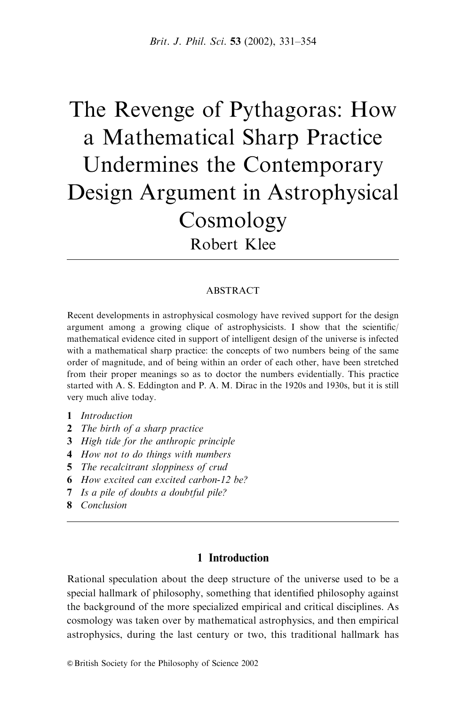# The Revenge of Pythagoras: How a Mathematical Sharp Practice Undermines the Contemporary Design Argument in Astrophysical Cosmology Robert Klee

## **ABSTRACT**

Recent developments in astrophysical cosmology have revived support for the design argument among a growing clique of astrophysicists. I show that the scientific/ mathematical evidence cited in support of intelligent design of the universe is infected with a mathematical sharp practice: the concepts of two numbers being of the same order of magnitude, and of being within an order of each other, have been stretched from their proper meanings so as to doctor the numbers evidentially. This practice started with A. S. Eddington and P. A. M. Dirac in the 1920s and 1930s, but it is still very much alive today.

- 1 Introduction
- 2 The birth of a sharp practice
- 3 High tide for the anthropic principle
- 4 How not to do things with numbers
- 5 The recalcitrant sloppiness of crud
- 6 How excited can excited carbon-12 be?
- 7 Is a pile of doubts a doubtful pile?
- 8 Conclusion

# 1 Introduction

Rational speculation about the deep structure of the universe used to be a special hallmark of philosophy, something that identified philosophy against the background of the more specialized empirical and critical disciplines. As cosmology was taken over by mathematical astrophysics, and then empirical astrophysics, during the last century or two, this traditional hallmark has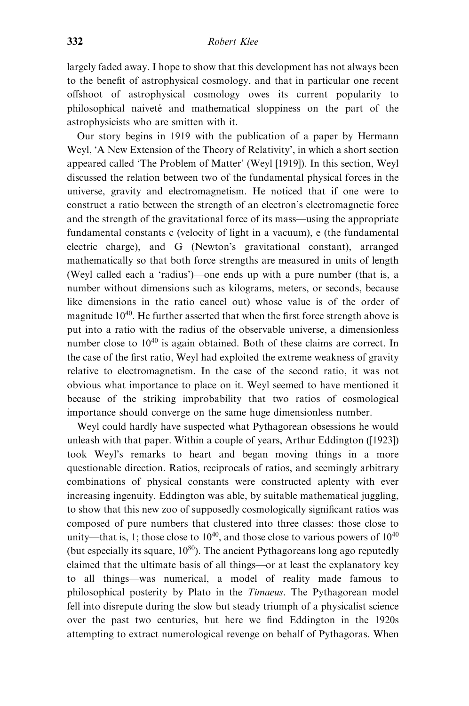largely faded away. I hope to show that this development has not always been to the benefit of astrophysical cosmology, and that in particular one recent offshoot of astrophysical cosmology owes its current popularity to philosophical naiveté and mathematical sloppiness on the part of the astrophysicists who are smitten with it.

Our story begins in 1919 with the publication of a paper by Hermann Weyl, 'A New Extension of the Theory of Relativity', in which a short section appeared called 'The Problem of Matter' (Weyl [1919]). In this section, Weyl discussed the relation between two of the fundamental physical forces in the universe, gravity and electromagnetism. He noticed that if one were to construct a ratio between the strength of an electron's electromagnetic force and the strength of the gravitational force of its mass—using the appropriate fundamental constants c (velocity of light in a vacuum), e (the fundamental electric charge), and G (Newton's gravitational constant), arranged mathematically so that both force strengths are measured in units of length (Weyl called each a 'radius')—one ends up with a pure number (that is, a number without dimensions such as kilograms, meters, or seconds, because like dimensions in the ratio cancel out) whose value is of the order of magnitude  $10^{40}$ . He further asserted that when the first force strength above is put into a ratio with the radius of the observable universe, a dimensionless number close to  $10^{40}$  is again obtained. Both of these claims are correct. In the case of the first ratio, Weyl had exploited the extreme weakness of gravity relative to electromagnetism. In the case of the second ratio, it was not obvious what importance to place on it. Weyl seemed to have mentioned it because of the striking improbability that two ratios of cosmological importance should converge on the same huge dimensionless number.

Weyl could hardly have suspected what Pythagorean obsessions he would unleash with that paper. Within a couple of years, Arthur Eddington ([1923]) took Weyl's remarks to heart and began moving things in a more questionable direction. Ratios, reciprocals of ratios, and seemingly arbitrary combinations of physical constants were constructed aplenty with ever increasing ingenuity. Eddington was able, by suitable mathematical juggling, to show that this new zoo of supposedly cosmologically significant ratios was composed of pure numbers that clustered into three classes: those close to unity—that is, 1; those close to  $10^{40}$ , and those close to various powers of  $10^{40}$ (but especially its square,  $10^{80}$ ). The ancient Pythagoreans long ago reputedly claimed that the ultimate basis of all things—or at least the explanatory key to all things—was numerical, a model of reality made famous to philosophical posterity by Plato in the Timaeus. The Pythagorean model fell into disrepute during the slow but steady triumph of a physicalist science over the past two centuries, but here we find Eddington in the 1920s attempting to extract numerological revenge on behalf of Pythagoras. When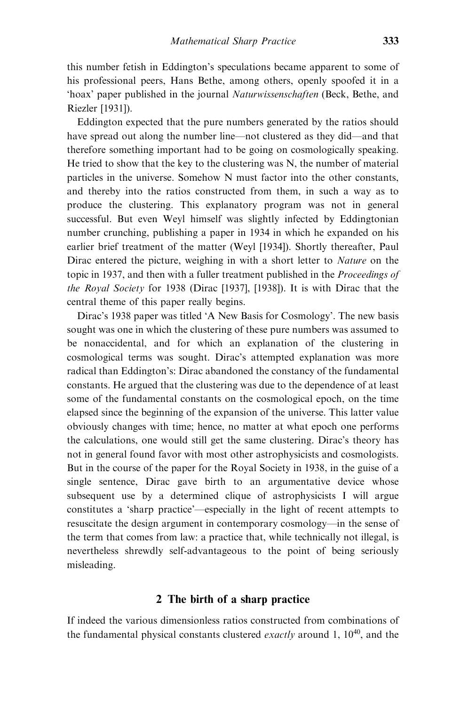this number fetish in Eddington's speculations became apparent to some of his professional peers, Hans Bethe, among others, openly spoofed it in a 'hoax' paper published in the journal Naturwissenschaften (Beck, Bethe, and Riezler [1931]).

Eddington expected that the pure numbers generated by the ratios should have spread out along the number line—not clustered as they did—and that therefore something important had to be going on cosmologically speaking. He tried to show that the key to the clustering was N, the number of material particles in the universe. Somehow N must factor into the other constants, and thereby into the ratios constructed from them, in such a way as to produce the clustering. This explanatory program was not in general successful. But even Weyl himself was slightly infected by Eddingtonian number crunching, publishing a paper in 1934 in which he expanded on his earlier brief treatment of the matter (Weyl [1934]). Shortly thereafter, Paul Dirac entered the picture, weighing in with a short letter to *Nature* on the topic in 1937, and then with a fuller treatment published in the Proceedings of the Royal Society for 1938 (Dirac [1937], [1938]). It is with Dirac that the central theme of this paper really begins.

Dirac's 1938 paper was titled 'A New Basis for Cosmology'. The new basis sought was one in which the clustering of these pure numbers was assumed to be nonaccidental, and for which an explanation of the clustering in cosmological terms was sought. Dirac's attempted explanation was more radical than Eddington's: Dirac abandoned the constancy of the fundamental constants. He argued that the clustering was due to the dependence of at least some of the fundamental constants on the cosmological epoch, on the time elapsed since the beginning of the expansion of the universe. This latter value obviously changes with time; hence, no matter at what epoch one performs the calculations, one would still get the same clustering. Dirac's theory has not in general found favor with most other astrophysicists and cosmologists. But in the course of the paper for the Royal Society in 1938, in the guise of a single sentence, Dirac gave birth to an argumentative device whose subsequent use by a determined clique of astrophysicists I will argue constitutes a 'sharp practice'—especially in the light of recent attempts to resuscitate the design argument in contemporary cosmology—in the sense of the term that comes from law: a practice that, while technically not illegal, is nevertheless shrewdly self-advantageous to the point of being seriously misleading.

#### 2 The birth of a sharp practice

If indeed the various dimensionless ratios constructed from combinations of the fundamental physical constants clustered *exactly* around 1,  $10^{40}$ , and the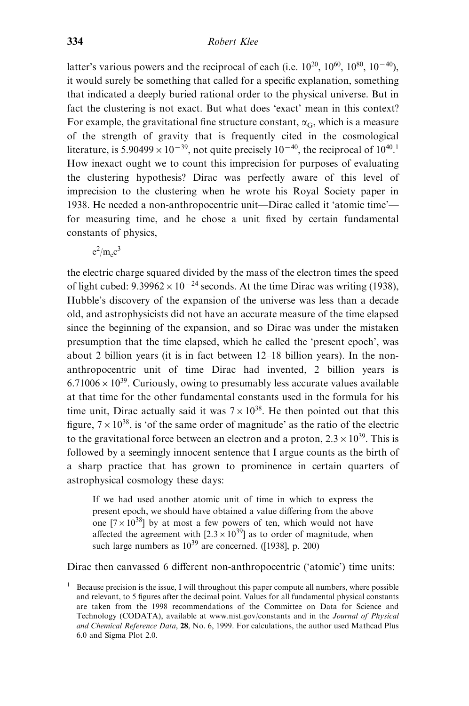latter's various powers and the reciprocal of each (i.e.  $10^{20}$ ,  $10^{60}$ ,  $10^{80}$ ,  $10^{-40}$ ), it would surely be something that called for a specific explanation, something that indicated a deeply buried rational order to the physical universe. But in fact the clustering is not exact. But what does 'exact' mean in this context? For example, the gravitational fine structure constant,  $\alpha_G$ , which is a measure of the strength of gravity that is frequently cited in the cosmological literature, is 5.90499  $\times 10^{-39}$ , not quite precisely  $10^{-40}$ , the reciprocal of  $10^{40}$ . How inexact ought we to count this imprecision for purposes of evaluating the clustering hypothesis? Dirac was perfectly aware of this level of imprecision to the clustering when he wrote his Royal Society paper in 1938. He needed a non-anthropocentric unit—Dirac called it 'atomic time' for measuring time, and he chose a unit fixed by certain fundamental constants of physics,

 $e^2/m_ec^3$ 

the electric charge squared divided by the mass of the electron times the speed of light cubed:  $9.39962 \times 10^{-24}$  seconds. At the time Dirac was writing (1938), Hubble's discovery of the expansion of the universe was less than a decade old, and astrophysicists did not have an accurate measure of the time elapsed since the beginning of the expansion, and so Dirac was under the mistaken presumption that the time elapsed, which he called the 'present epoch', was about 2 billion years (it is in fact between 12–18 billion years). In the nonanthropocentric unit of time Dirac had invented, 2 billion years is  $6.71006 \times 10^{39}$ . Curiously, owing to presumably less accurate values available at that time for the other fundamental constants used in the formula for his time unit. Dirac actually said it was  $7 \times 10^{38}$ . He then pointed out that this figure,  $7 \times 10^{38}$ , is 'of the same order of magnitude' as the ratio of the electric to the gravitational force between an electron and a proton,  $2.3 \times 10^{39}$ . This is followed by a seemingly innocent sentence that I argue counts as the birth of a sharp practice that has grown to prominence in certain quarters of astrophysical cosmology these days:

If we had used another atomic unit of time in which to express the present epoch, we should have obtained a value differing from the above one  $[7 \times 10^{38}]$  by at most a few powers of ten, which would not have affected the agreement with  $[2.3 \times 10^{39}]$  as to order of magnitude, when such large numbers as  $10^{39}$  are concerned. ([1938], p. 200)

Dirac then canvassed 6 different non-anthropocentric ('atomic') time units:

 $<sup>1</sup>$  Because precision is the issue, I will throughout this paper compute all numbers, where possible</sup> and relevant, to 5 figures after the decimal point. Values for all fundamental physical constants are taken from the 1998 recommendations of the Committee on Data for Science and Technology (CODATA), available at www.nist.gov/constants and in the Journal of Physical and Chemical Reference Data, 28, No. 6, 1999. For calculations, the author used Mathcad Plus 6.0 and Sigma Plot 2.0.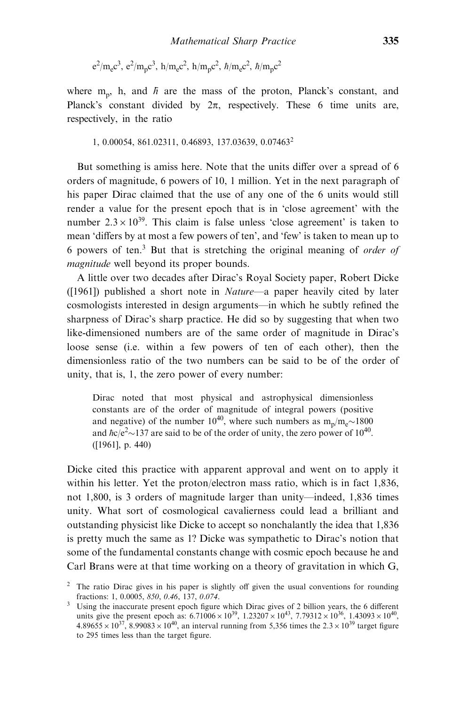$$
e^2/m_ec^3, e^2/m_pc^3, h/m_ec^2, h/m_pc^2, \hbar/m_ec^2, \hbar/m_pc^2
$$

where  $m_n$ , h, and  $\hbar$  are the mass of the proton, Planck's constant, and Planck's constant divided by  $2\pi$ , respectively. These 6 time units are, respectively, in the ratio

1, 0.00054, 861.02311, 0.46893, 137.03639, 0.07463<sup>2</sup>

But something is amiss here. Note that the units differ over a spread of 6 orders of magnitude, 6 powers of 10, 1 million. Yet in the next paragraph of his paper Dirac claimed that the use of any one of the 6 units would still render a value for the present epoch that is in 'close agreement' with the number  $2.3 \times 10^{39}$ . This claim is false unless 'close agreement' is taken to mean 'differs by at most a few powers of ten', and 'few' is taken to mean up to 6 powers of ten.<sup>3</sup> But that is stretching the original meaning of *order of* magnitude well beyond its proper bounds.

A little over two decades after Dirac's Royal Society paper, Robert Dicke ([1961]) published a short note in Nature—a paper heavily cited by later cosmologists interested in design arguments—in which he subtly refined the sharpness of Dirac's sharp practice. He did so by suggesting that when two like-dimensioned numbers are of the same order of magnitude in Dirac's loose sense (i.e. within a few powers of ten of each other), then the dimensionless ratio of the two numbers can be said to be of the order of unity, that is, 1, the zero power of every number:

Dirac noted that most physical and astrophysical dimensionless constants are of the order of magnitude of integral powers (positive and negative) of the number  $10^{40}$ , where such numbers as  $m_p/m_e \sim 1800$ and  $\hbar c/e^2 \sim 137$  are said to be of the order of unity, the zero power of  $10^{40}$ . ([1961], p. 440)

Dicke cited this practice with apparent approval and went on to apply it within his letter. Yet the proton/electron mass ratio, which is in fact 1,836, not 1,800, is 3 orders of magnitude larger than unity—indeed, 1,836 times unity. What sort of cosmological cavalierness could lead a brilliant and outstanding physicist like Dicke to accept so nonchalantly the idea that 1,836 is pretty much the same as 1? Dicke was sympathetic to Dirac's notion that some of the fundamental constants change with cosmic epoch because he and Carl Brans were at that time working on a theory of gravitation in which G,

<sup>&</sup>lt;sup>2</sup> The ratio Dirac gives in his paper is slightly off given the usual conventions for rounding fractions: 1, 0.0005, 850, 0.46, 137, 0.074.

<sup>&</sup>lt;sup>3</sup> Using the inaccurate present epoch figure which Dirac gives of 2 billion years, the 6 different units give the present epoch as:  $6.71006 \times 10^{39}$ ,  $1.23207 \times 10^{43}$ ,  $7.79312 \times 10^{36}$ ,  $1.43093 \times 10^{40}$ ,  $4.89655 \times 10^{37}$ ,  $8.99083 \times 10^{40}$ , an interval running from 5,356 times the 2.3  $\times$  10<sup>39</sup> target figure to 295 times less than the target figure.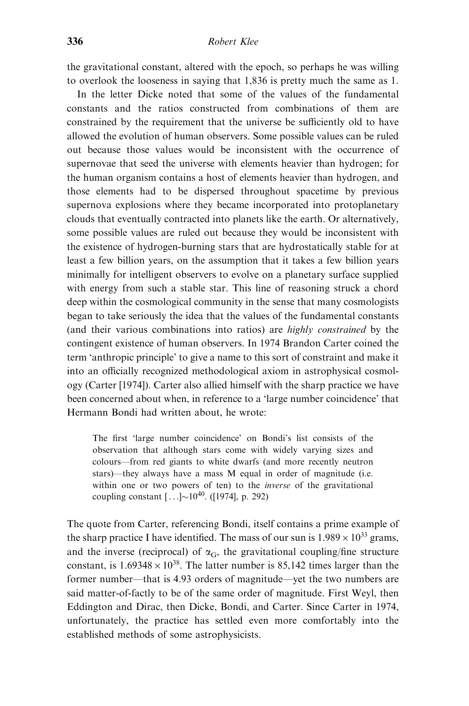the gravitational constant, altered with the epoch, so perhaps he was willing to overlook the looseness in saying that 1,836 is pretty much the same as 1.

In the letter Dicke noted that some of the values of the fundamental constants and the ratios constructed from combinations of them are constrained by the requirement that the universe be sufficiently old to have allowed the evolution of human observers. Some possible values can be ruled out because those values would be inconsistent with the occurrence of supernovae that seed the universe with elements heavier than hydrogen; for the human organism contains a host of elements heavier than hydrogen, and those elements had to be dispersed throughout spacetime by previous supernova explosions where they became incorporated into protoplanetary clouds that eventually contracted into planets like the earth. Or alternatively, some possible values are ruled out because they would be inconsistent with the existence of hydrogen-burning stars that are hydrostatically stable for at least a few billion years, on the assumption that it takes a few billion years minimally for intelligent observers to evolve on a planetary surface supplied with energy from such a stable star. This line of reasoning struck a chord deep within the cosmological community in the sense that many cosmologists began to take seriously the idea that the values of the fundamental constants (and their various combinations into ratios) are highly constrained by the contingent existence of human observers. In 1974 Brandon Carter coined the term 'anthropic principle' to give a name to this sort of constraint and make it into an officially recognized methodological axiom in astrophysical cosmology (Carter [1974]). Carter also allied himself with the sharp practice we have been concerned about when, in reference to a 'large number coincidence' that Hermann Bondi had written about, he wrote:

The first 'large number coincidence' on Bondi's list consists of the observation that although stars come with widely varying sizes and colours—from red giants to white dwarfs (and more recently neutron stars)—they always have a mass M equal in order of magnitude (i.e. within one or two powers of ten) to the inverse of the gravitational coupling constant  $[\ldots]_10^{40}$ . ([1974], p. 292)

The quote from Carter, referencing Bondi, itself contains a prime example of the sharp practice I have identified. The mass of our sun is  $1.989 \times 10^{33}$  grams, and the inverse (reciprocal) of  $\alpha_G$ , the gravitational coupling/fine structure constant, is  $1.69348 \times 10^{38}$ . The latter number is 85,142 times larger than the former number—that is 4.93 orders of magnitude—yet the two numbers are said matter-of-factly to be of the same order of magnitude. First Weyl, then Eddington and Dirac, then Dicke, Bondi, and Carter. Since Carter in 1974, unfortunately, the practice has settled even more comfortably into the established methods of some astrophysicists.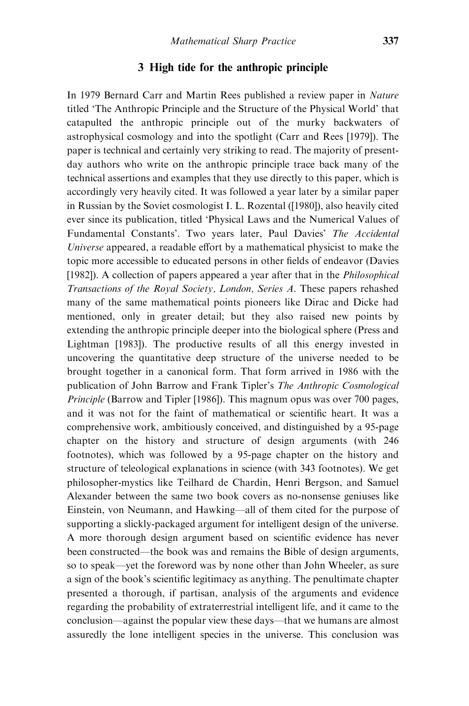## 3 High tide for the anthropic principle

In 1979 Bernard Carr and Martin Rees published a review paper in Nature titled 'The Anthropic Principle and the Structure of the Physical World' that catapulted the anthropic principle out of the murky backwaters of astrophysical cosmology and into the spotlight (Carr and Rees [1979]). The paper is technical and certainly very striking to read. The majority of presentday authors who write on the anthropic principle trace back many of the technical assertions and examples that they use directly to this paper, which is accordingly very heavily cited. It was followed a year later by a similar paper in Russian by the Soviet cosmologist I. L. Rozental ([1980]), also heavily cited ever since its publication, titled 'Physical Laws and the Numerical Values of Fundamental Constants'. Two years later, Paul Davies' The Accidental Universe appeared, a readable effort by a mathematical physicist to make the topic more accessible to educated persons in other fields of endeavor (Davies [1982]). A collection of papers appeared a year after that in the *Philosophical* Transactions of the Royal Society, London, Series A. These papers rehashed many of the same mathematical points pioneers like Dirac and Dicke had mentioned, only in greater detail; but they also raised new points by extending the anthropic principle deeper into the biological sphere (Press and Lightman [1983]). The productive results of all this energy invested in uncovering the quantitative deep structure of the universe needed to be brought together in a canonical form. That form arrived in 1986 with the publication of John Barrow and Frank Tipler's The Anthropic Cosmological Principle (Barrow and Tipler [1986]). This magnum opus was over 700 pages, and it was not for the faint of mathematical or scientific heart. It was a comprehensive work, ambitiously conceived, and distinguished by a 95-page chapter on the history and structure of design arguments (with 246 footnotes), which was followed by a 95-page chapter on the history and structure of teleological explanations in science (with 343 footnotes). We get philosopher-mystics like Teilhard de Chardin, Henri Bergson, and Samuel Alexander between the same two book covers as no-nonsense geniuses like Einstein, von Neumann, and Hawking—all of them cited for the purpose of supporting a slickly-packaged argument for intelligent design of the universe. A more thorough design argument based on scientific evidence has never been constructed—the book was and remains the Bible of design arguments, so to speak—yet the foreword was by none other than John Wheeler, as sure a sign of the book's scientific legitimacy as anything. The penultimate chapter presented a thorough, if partisan, analysis of the arguments and evidence regarding the probability of extraterrestrial intelligent life, and it came to the conclusion—against the popular view these days—that we humans are almost assuredly the lone intelligent species in the universe. This conclusion was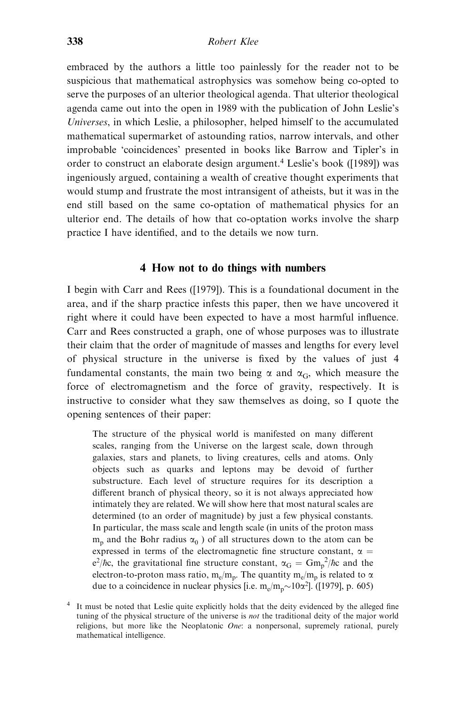embraced by the authors a little too painlessly for the reader not to be suspicious that mathematical astrophysics was somehow being co-opted to serve the purposes of an ulterior theological agenda. That ulterior theological agenda came out into the open in 1989 with the publication of John Leslie's Universes, in which Leslie, a philosopher, helped himself to the accumulated mathematical supermarket of astounding ratios, narrow intervals, and other improbable 'coincidences' presented in books like Barrow and Tipler's in order to construct an elaborate design argument.<sup>4</sup> Leslie's book ([1989]) was ingeniously argued, containing a wealth of creative thought experiments that would stump and frustrate the most intransigent of atheists, but it was in the end still based on the same co-optation of mathematical physics for an ulterior end. The details of how that co-optation works involve the sharp practice I have identified, and to the details we now turn.

#### 4 How not to do things with numbers

I begin with Carr and Rees ([1979]). This is a foundational document in the area, and if the sharp practice infests this paper, then we have uncovered it right where it could have been expected to have a most harmful influence. Carr and Rees constructed a graph, one of whose purposes was to illustrate their claim that the order of magnitude of masses and lengths for every level of physical structure in the universe is fixed by the values of just 4 fundamental constants, the main two being  $\alpha$  and  $\alpha$ <sub>G</sub>, which measure the force of electromagnetism and the force of gravity, respectively. It is instructive to consider what they saw themselves as doing, so I quote the opening sentences of their paper:

The structure of the physical world is manifested on many different scales, ranging from the Universe on the largest scale, down through galaxies, stars and planets, to living creatures, cells and atoms. Only objects such as quarks and leptons may be devoid of further substructure. Each level of structure requires for its description a different branch of physical theory, so it is not always appreciated how intimately they are related. We will show here that most natural scales are determined (to an order of magnitude) by just a few physical constants. In particular, the mass scale and length scale (in units of the proton mass  $m_p$  and the Bohr radius  $\alpha_0$ ) of all structures down to the atom can be expressed in terms of the electromagnetic fine structure constant,  $\alpha$  =  $e^2/\hbar c$ , the gravitational fine structure constant,  $\alpha_G = Gm_p^2/\hbar c$  and the electron-to-proton mass ratio,  $m_e/m_p$ . The quantity  $m_e/m_p$  is related to  $\alpha$ due to a coincidence in nuclear physics [i.e.  $m_e/m_p \sim 10\alpha^2$ ]. ([1979], p. 605)

It must be noted that Leslie quite explicitly holds that the deity evidenced by the alleged fine tuning of the physical structure of the universe is not the traditional deity of the major world religions, but more like the Neoplatonic  $One:$  a nonpersonal, supremely rational, purely mathematical intelligence.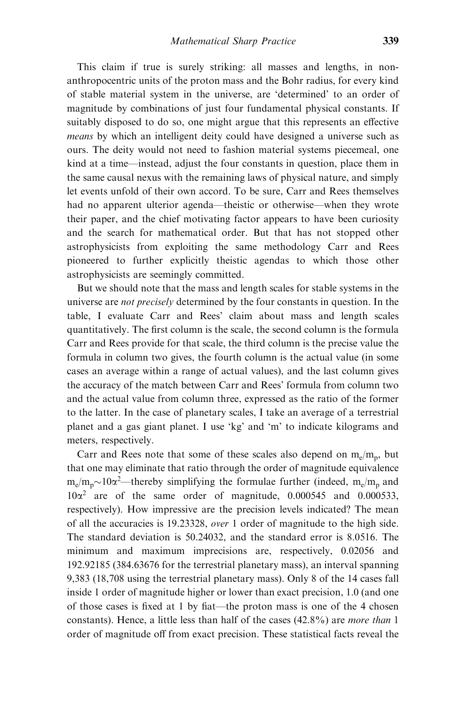This claim if true is surely striking: all masses and lengths, in nonanthropocentric units of the proton mass and the Bohr radius, for every kind of stable material system in the universe, are 'determined' to an order of magnitude by combinations of just four fundamental physical constants. If suitably disposed to do so, one might argue that this represents an effective means by which an intelligent deity could have designed a universe such as ours. The deity would not need to fashion material systems piecemeal, one kind at a time—instead, adjust the four constants in question, place them in the same causal nexus with the remaining laws of physical nature, and simply let events unfold of their own accord. To be sure, Carr and Rees themselves had no apparent ulterior agenda—theistic or otherwise—when they wrote their paper, and the chief motivating factor appears to have been curiosity and the search for mathematical order. But that has not stopped other astrophysicists from exploiting the same methodology Carr and Rees pioneered to further explicitly theistic agendas to which those other astrophysicists are seemingly committed.

But we should note that the mass and length scales for stable systems in the universe are not precisely determined by the four constants in question. In the table, I evaluate Carr and Rees' claim about mass and length scales quantitatively. The first column is the scale, the second column is the formula Carr and Rees provide for that scale, the third column is the precise value the formula in column two gives, the fourth column is the actual value (in some cases an average within a range of actual values), and the last column gives the accuracy of the match between Carr and Rees' formula from column two and the actual value from column three, expressed as the ratio of the former to the latter. In the case of planetary scales, I take an average of a terrestrial planet and a gas giant planet. I use 'kg' and 'm' to indicate kilograms and meters, respectively.

Carr and Rees note that some of these scales also depend on  $m_e/m_p$ , but that one may eliminate that ratio through the order of magnitude equivalence  $m_e/m_p \sim 10\alpha^2$ —thereby simplifying the formulae further (indeed,  $m_e/m_p$  and  $10\alpha^2$  are of the same order of magnitude, 0.000545 and 0.000533, respectively). How impressive are the precision levels indicated? The mean of all the accuracies is 19.23328, over 1 order of magnitude to the high side. The standard deviation is 50.24032, and the standard error is 8.0516. The minimum and maximum imprecisions are, respectively, 0.02056 and 192.92185 (384.63676 for the terrestrial planetary mass), an interval spanning 9,383 (18,708 using the terrestrial planetary mass). Only 8 of the 14 cases fall inside 1 order of magnitude higher or lower than exact precision, 1.0 (and one of those cases is fixed at 1 by fiat—the proton mass is one of the 4 chosen constants). Hence, a little less than half of the cases (42.8%) are more than 1 order of magnitude off from exact precision. These statistical facts reveal the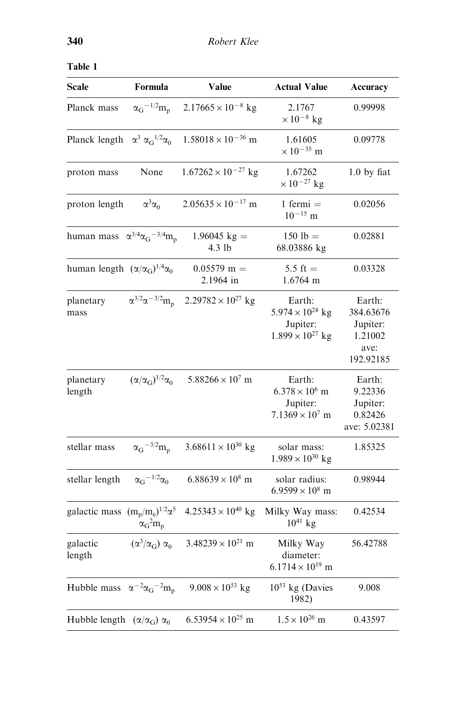| <b>Scale</b>                                            | Formula                                | Value                              | <b>Actual Value</b>                                                          | Accuracy                                                        |
|---------------------------------------------------------|----------------------------------------|------------------------------------|------------------------------------------------------------------------------|-----------------------------------------------------------------|
| Planck mass                                             | $\alpha_G^{-1/2}m_p$                   | $2.17665 \times 10^{-8}$ kg        | 2.1767<br>$\times 10^{-8}$ kg                                                | 0.99998                                                         |
| Planck length $\alpha^3 \alpha_G^{1/2} \alpha_0$        |                                        | $1.58018 \times 10^{-36}$ m        | 1.61605<br>$\times$ 10 <sup>-35</sup> m                                      | 0.09778                                                         |
| proton mass                                             | None                                   | $1.67262 \times 10^{-27}$ kg       | 1.67262<br>$\times 10^{-27}$ kg                                              | 1.0 by fiat                                                     |
| proton length                                           | $\alpha^3\alpha_0$                     | $2.05635 \times 10^{-17}$ m        | 1 fermi $=$<br>$10^{-15}$ m                                                  | 0.02056                                                         |
| human mass $\alpha^{3/4}\alpha_{\rm G}^{-3/4}m_{\rm p}$ |                                        | $1.96045 \text{ kg} =$<br>4.3 lb   | $150 lb =$<br>68.03886 kg                                                    | 0.02881                                                         |
| human length $(\alpha/\alpha_G)^{1/4}\alpha_0$          |                                        | $0.05579$ m =<br>2.1964 in         | 5.5 ft $=$<br>1.6764 m                                                       | 0.03328                                                         |
| planetary<br>mass                                       | $\alpha^{3/2} \alpha^{-3/2} m_{\rm p}$ | $2.29782 \times 10^{27}$ kg        | Earth:<br>$5.974 \times 10^{24}$ kg<br>Jupiter:<br>$1.899 \times 10^{27}$ kg | Earth:<br>384.63676<br>Jupiter:<br>1.21002<br>ave:<br>192.92185 |
| planetary<br>length                                     | $(\alpha/\alpha_G)^{1/2}\alpha_0$      | 5.88266 $\times$ 10 <sup>7</sup> m | Earth:<br>$6.378 \times 10^6$ m<br>Jupiter:<br>$7.1369 \times 10^7$ m        | Earth:<br>9.22336<br>Jupiter:<br>0.82426<br>ave: 5.02381        |
| stellar mass                                            | $\alpha_{\rm G}^{-3/2} m_{\rm n}$      | $3.68611 \times 10^{30}$ kg        | solar mass:<br>$1.989 \times 10^{30}$ kg                                     | 1.85325                                                         |
| stellar length                                          | $\alpha_{\rm G}^{-1/2}\alpha_0$        | $6.88639 \times 10^8$ m            | solar radius:<br>$6.9599 \times 10^8$ m                                      | 0.98944                                                         |
| galactic mass $(m_p/m_e)^{1/2}\alpha^5$                 | $\alpha_G^2 m_p$                       | $4.25343 \times 10^{40}$ kg        | Milky Way mass:<br>$10^{41}$ kg                                              | 0.42534                                                         |
| galactic<br>length                                      | $(\alpha^3/\alpha_G) \alpha_0$         | $3.48239 \times 10^{21}$ m         | Milky Way<br>diameter:<br>$6.1714 \times 10^{19}$ m                          | 56.42788                                                        |
| Hubble mass $\alpha^{-2}\alpha_G^{-2}m_p$               |                                        | $9.008 \times 10^{53}$ kg          | $10^{53}$ kg (Davies<br>1982)                                                | 9.008                                                           |
| Hubble length $(\alpha/\alpha_G)$ $\alpha_0$            |                                        | $6.53954 \times 10^{25}$ m         | $1.5 \times 10^{26}$ m                                                       | 0.43597                                                         |
|                                                         |                                        |                                    |                                                                              |                                                                 |

| anie |  |
|------|--|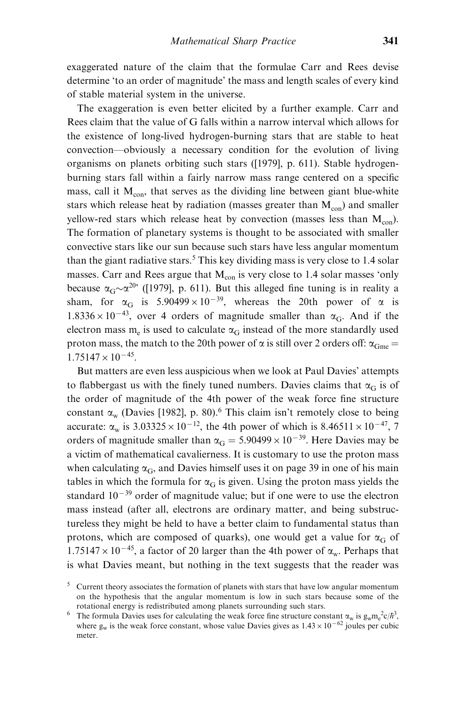exaggerated nature of the claim that the formulae Carr and Rees devise determine 'to an order of magnitude' the mass and length scales of every kind of stable material system in the universe.

The exaggeration is even better elicited by a further example. Carr and Rees claim that the value of G falls within a narrow interval which allows for the existence of long-lived hydrogen-burning stars that are stable to heat convection—obviously a necessary condition for the evolution of living organisms on planets orbiting such stars ([1979], p. 611). Stable hydrogenburning stars fall within a fairly narrow mass range centered on a specific mass, call it  $M_{\text{con}}$ , that serves as the dividing line between giant blue-white stars which release heat by radiation (masses greater than  $M_{\text{con}}$ ) and smaller yellow-red stars which release heat by convection (masses less than  $M_{\text{con}}$ ). The formation of planetary systems is thought to be associated with smaller convective stars like our sun because such stars have less angular momentum than the giant radiative stars.<sup>5</sup> This key dividing mass is very close to 1.4 solar masses. Carr and Rees argue that  $M_{\text{con}}$  is very close to 1.4 solar masses 'only because  $\alpha_{\rm G} \sim \alpha^{20}$  ([1979], p. 611). But this alleged fine tuning is in reality a sham, for  $\alpha_G$  is 5.90499 × 10<sup>-39</sup>, whereas the 20th power of  $\alpha$  is  $1.8336 \times 10^{-43}$ , over 4 orders of magnitude smaller than  $\alpha$ <sub>G</sub>. And if the electron mass m<sub>e</sub> is used to calculate  $\alpha$ <sup>G</sup> instead of the more standardly used proton mass, the match to the 20th power of  $\alpha$  is still over 2 orders off:  $\alpha_{Gme}$  =  $1.75147\times10^{-45}$ .

But matters are even less auspicious when we look at Paul Davies' attempts to flabbergast us with the finely tuned numbers. Davies claims that  $\alpha_G$  is of the order of magnitude of the 4th power of the weak force fine structure constant  $\alpha_w$  (Davies [1982], p. 80).<sup>6</sup> This claim isn't remotely close to being accurate:  $\alpha_w$  is 3.03325 × 10<sup>-12</sup>, the 4th power of which is 8.46511 × 10<sup>-47</sup>, 7 orders of magnitude smaller than  $\alpha_G = 5.90499 \times 10^{-39}$ . Here Davies may be a victim of mathematical cavalierness. It is customary to use the proton mass when calculating  $\alpha_G$ , and Davies himself uses it on page 39 in one of his main tables in which the formula for  $\alpha_G$  is given. Using the proton mass yields the standard  $10^{-39}$  order of magnitude value; but if one were to use the electron mass instead (after all, electrons are ordinary matter, and being substructureless they might be held to have a better claim to fundamental status than protons, which are composed of quarks), one would get a value for  $\alpha_G$  of  $1.75147 \times 10^{-45}$ , a factor of 20 larger than the 4th power of  $\alpha_w$ . Perhaps that is what Davies meant, but nothing in the text suggests that the reader was

<sup>&</sup>lt;sup>5</sup> Current theory associates the formation of planets with stars that have low angular momentum on the hypothesis that the angular momentum is low in such stars because some of the rotational energy is redistributed among planets surrounding such stars.

<sup>&</sup>lt;sup>6</sup> The formula Davies uses for calculating the weak force fine structure constant  $\alpha_w$  is  $g_w m_e^2 c / h^3$ , where  $g_w$  is the weak force constant, whose value Davies gives as  $1.43 \times 10^{-62}$  joules per cubic meter.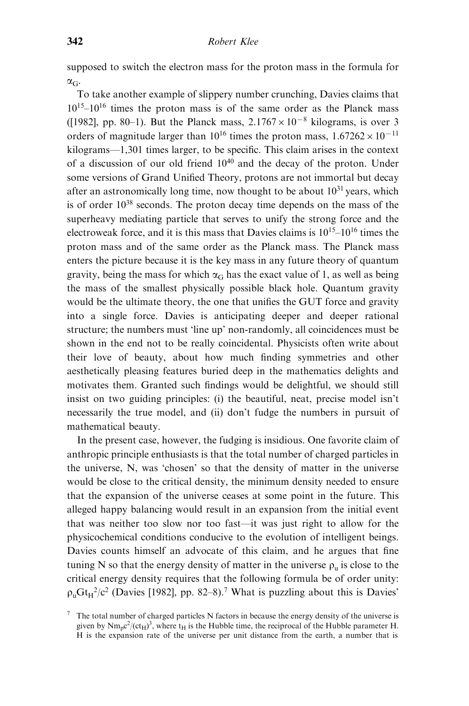supposed to switch the electron mass for the proton mass in the formula for  $\alpha_{\rm G}$ .

To take another example of slippery number crunching, Davies claims that  $10^{15}-10^{16}$  times the proton mass is of the same order as the Planck mass ([1982], pp. 80–1). But the Planck mass,  $2.1767 \times 10^{-8}$  kilograms, is over 3 orders of magnitude larger than  $10^{16}$  times the proton mass,  $1.67262 \times 10^{-11}$ kilograms—1,301 times larger, to be specific. This claim arises in the context of a discussion of our old friend  $10^{40}$  and the decay of the proton. Under some versions of Grand Unified Theory, protons are not immortal but decay after an astronomically long time, now thought to be about  $10^{31}$  years, which is of order  $10^{38}$  seconds. The proton decay time depends on the mass of the superheavy mediating particle that serves to unify the strong force and the electroweak force, and it is this mass that Davies claims is  $10^{15}$ – $10^{16}$  times the proton mass and of the same order as the Planck mass. The Planck mass enters the picture because it is the key mass in any future theory of quantum gravity, being the mass for which  $\alpha_G$  has the exact value of 1, as well as being the mass of the smallest physically possible black hole. Quantum gravity would be the ultimate theory, the one that unifies the GUT force and gravity into a single force. Davies is anticipating deeper and deeper rational structure; the numbers must 'line up' non-randomly, all coincidences must be shown in the end not to be really coincidental. Physicists often write about their love of beauty, about how much finding symmetries and other aesthetically pleasing features buried deep in the mathematics delights and motivates them. Granted such findings would be delightful, we should still insist on two guiding principles: (i) the beautiful, neat, precise model isn't necessarily the true model, and (ii) don't fudge the numbers in pursuit of mathematical beauty.

In the present case, however, the fudging is insidious. One favorite claim of anthropic principle enthusiasts is that the total number of charged particles in the universe, N, was 'chosen' so that the density of matter in the universe would be close to the critical density, the minimum density needed to ensure that the expansion of the universe ceases at some point in the future. This alleged happy balancing would result in an expansion from the initial event that was neither too slow nor too fast—it was just right to allow for the physicochemical conditions conducive to the evolution of intelligent beings. Davies counts himself an advocate of this claim, and he argues that fine tuning N so that the energy density of matter in the universe  $\rho_n$  is close to the critical energy density requires that the following formula be of order unity:  $\rho_u$ Gt<sub>H</sub><sup>2</sup>/c<sup>2</sup> (Davies [1982], pp. 82–8).<sup>7</sup> What is puzzling about this is Davies'

 $\frac{7}{10}$  The total number of charged particles N factors in because the energy density of the universe is given by  $\text{Nm}_{\text{p}}c^2/(\text{ct}_{\text{H}})^3$ , where  $t_{\text{H}}$  is the Hubble time, the reciprocal of the Hubble parameter H. H is the expansion rate of the universe per unit distance from the earth, a number that is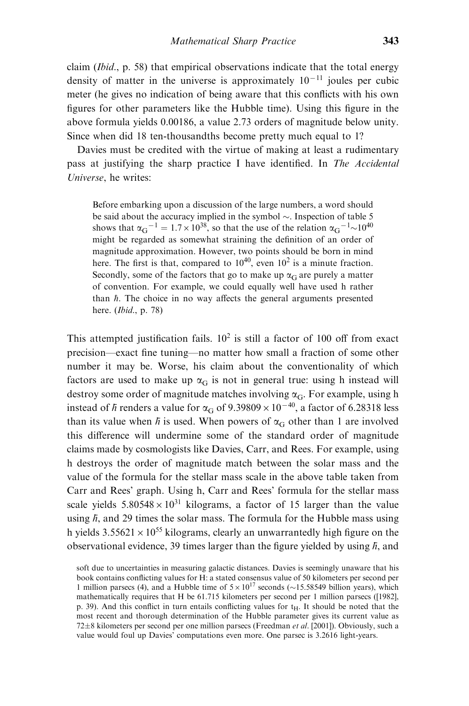claim (Ibid., p. 58) that empirical observations indicate that the total energy density of matter in the universe is approximately  $10^{-11}$  joules per cubic meter (he gives no indication of being aware that this conflicts with his own figures for other parameters like the Hubble time). Using this figure in the above formula yields 0.00186, a value 2.73 orders of magnitude below unity. Since when did 18 ten-thousandths become pretty much equal to 1?

Davies must be credited with the virtue of making at least a rudimentary pass at justifying the sharp practice I have identified. In The Accidental Universe, he writes:

Before embarking upon a discussion of the large numbers, a word should be said about the accuracy implied in the symbol  $\sim$ . Inspection of table 5 shows that  $\alpha_G^{-1} = 1.7 \times 10^{38}$ , so that the use of the relation  $\alpha_G^{-1} \sim 10^{40}$ might be regarded as somewhat straining the definition of an order of magnitude approximation. However, two points should be born in mind here. The first is that, compared to  $10^{40}$ , even  $10^2$  is a minute fraction. Secondly, some of the factors that go to make up  $\alpha_G$  are purely a matter of convention. For example, we could equally well have used h rather than  $\hbar$ . The choice in no way affects the general arguments presented here. (Ibid., p. 78)

This attempted justification fails.  $10^2$  is still a factor of 100 off from exact precision—exact fine tuning—no matter how small a fraction of some other number it may be. Worse, his claim about the conventionality of which factors are used to make up  $\alpha_G$  is not in general true: using h instead will destroy some order of magnitude matches involving  $\alpha_G$ . For example, using h instead of h renders a value for  $\alpha$ <sub>G</sub> of 9.39809  $\times$  10<sup>-40</sup>, a factor of 6.28318 less than its value when h is used. When powers of  $\alpha_G$  other than 1 are involved this difference will undermine some of the standard order of magnitude claims made by cosmologists like Davies, Carr, and Rees. For example, using h destroys the order of magnitude match between the solar mass and the value of the formula for the stellar mass scale in the above table taken from Carr and Rees' graph. Using h, Carr and Rees' formula for the stellar mass scale yields  $5.80548 \times 10^{31}$  kilograms, a factor of 15 larger than the value using  $\hbar$ , and 29 times the solar mass. The formula for the Hubble mass using h yields  $3.55621 \times 10^{55}$  kilograms, clearly an unwarrantedly high figure on the observational evidence, 39 times larger than the figure yielded by using  $\hbar$ , and

soft due to uncertainties in measuring galactic distances. Davies is seemingly unaware that his book contains conflicting values for H: a stated consensus value of 50 kilometers per second per 1 million parsecs (4), and a Hubble time of  $5 \times 10^{17}$  seconds ( $\sim$ 15.58549 billion years), which mathematically requires that H be 61.715 kilometers per second per 1 million parsecs ([1982], p. 39). And this conflict in turn entails conflicting values for  $t_H$ . It should be noted that the most recent and thorough determination of the Hubble parameter gives its current value as 72 $\pm$ 8 kilometers per second per one million parsecs (Freedman *et al.* [2001]). Obviously, such a value would foul up Davies' computations even more. One parsec is 3.2616 light-years.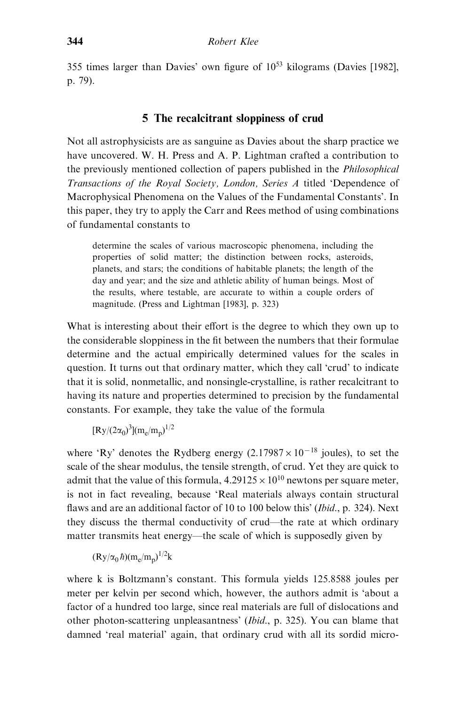355 times larger than Davies' own figure of 1053 kilograms (Davies [1982], p. 79).

# 5 The recalcitrant sloppiness of crud

Not all astrophysicists are as sanguine as Davies about the sharp practice we have uncovered. W. H. Press and A. P. Lightman crafted a contribution to the previously mentioned collection of papers published in the Philosophical Transactions of the Royal Society, London, Series A titled 'Dependence of Macrophysical Phenomena on the Values of the Fundamental Constants'. In this paper, they try to apply the Carr and Rees method of using combinations of fundamental constants to

determine the scales of various macroscopic phenomena, including the properties of solid matter; the distinction between rocks, asteroids, planets, and stars; the conditions of habitable planets; the length of the day and year; and the size and athletic ability of human beings. Most of the results, where testable, are accurate to within a couple orders of magnitude. (Press and Lightman [1983], p. 323)

What is interesting about their effort is the degree to which they own up to the considerable sloppiness in the fit between the numbers that their formulae determine and the actual empirically determined values for the scales in question. It turns out that ordinary matter, which they call 'crud' to indicate that it is solid, nonmetallic, and nonsingle-crystalline, is rather recalcitrant to having its nature and properties determined to precision by the fundamental constants. For example, they take the value of the formula

 $[Ry/(2\alpha_0)^3](m_e/m_p)^{1/2}$ 

where 'Ry' denotes the Rydberg energy  $(2.17987 \times 10^{-18}$  joules), to set the scale of the shear modulus, the tensile strength, of crud. Yet they are quick to admit that the value of this formula,  $4.29125 \times 10^{10}$  newtons per square meter, is not in fact revealing, because 'Real materials always contain structural flaws and are an additional factor of 10 to 100 below this' (*Ibid.*, p. 324). Next they discuss the thermal conductivity of crud—the rate at which ordinary matter transmits heat energy—the scale of which is supposedly given by

 $(Ry/\alpha_0 \hbar)(m_e/m_p)^{1/2}k$ 

where k is Boltzmann's constant. This formula yields 125.8588 joules per meter per kelvin per second which, however, the authors admit is 'about a factor of a hundred too large, since real materials are full of dislocations and other photon-scattering unpleasantness' (Ibid., p. 325). You can blame that damned 'real material' again, that ordinary crud with all its sordid micro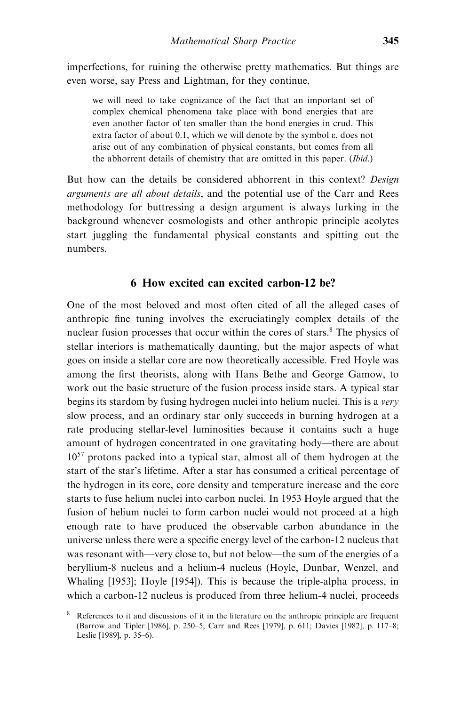imperfections, for ruining the otherwise pretty mathematics. But things are even worse, say Press and Lightman, for they continue,

we will need to take cognizance of the fact that an important set of complex chemical phenomena take place with bond energies that are even another factor of ten smaller than the bond energies in crud. This extra factor of about 0.1, which we will denote by the symbol e, does not arise out of any combination of physical constants, but comes from all the abhorrent details of chemistry that are omitted in this paper. (Ibid.)

But how can the details be considered abhorrent in this context? Design arguments are all about details, and the potential use of the Carr and Rees methodology for buttressing a design argument is always lurking in the background whenever cosmologists and other anthropic principle acolytes start juggling the fundamental physical constants and spitting out the numbers.

### 6 How excited can excited carbon-12 be?

One of the most beloved and most often cited of all the alleged cases of anthropic fine tuning involves the excruciatingly complex details of the nuclear fusion processes that occur within the cores of stars.<sup>8</sup> The physics of stellar interiors is mathematically daunting, but the major aspects of what goes on inside a stellar core are now theoretically accessible. Fred Hoyle was among the first theorists, along with Hans Bethe and George Gamow, to work out the basic structure of the fusion process inside stars. A typical star begins its stardom by fusing hydrogen nuclei into helium nuclei. This is a very slow process, and an ordinary star only succeeds in burning hydrogen at a rate producing stellar-level luminosities because it contains such a huge amount of hydrogen concentrated in one gravitating body—there are about  $10^{57}$  protons packed into a typical star, almost all of them hydrogen at the start of the star's lifetime. After a star has consumed a critical percentage of the hydrogen in its core, core density and temperature increase and the core starts to fuse helium nuclei into carbon nuclei. In 1953 Hoyle argued that the fusion of helium nuclei to form carbon nuclei would not proceed at a high enough rate to have produced the observable carbon abundance in the universe unless there were a specific energy level of the carbon-12 nucleus that was resonant with—very close to, but not below—the sum of the energies of a beryllium-8 nucleus and a helium-4 nucleus (Hoyle, Dunbar, Wenzel, and Whaling [1953]; Hoyle [1954]). This is because the triple-alpha process, in which a carbon-12 nucleus is produced from three helium-4 nuclei, proceeds

<sup>&</sup>lt;sup>8</sup> References to it and discussions of it in the literature on the anthropic principle are frequent (Barrow and Tipler [1986], p. 250–5; Carr and Rees [1979], p. 611; Davies [1982], p. 117–8; Leslie [1989], p. 35–6).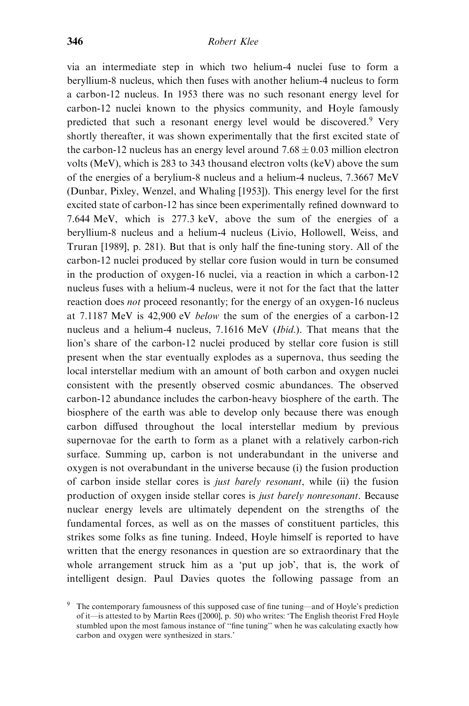via an intermediate step in which two helium-4 nuclei fuse to form a beryllium-8 nucleus, which then fuses with another helium-4 nucleus to form a carbon-12 nucleus. In 1953 there was no such resonant energy level for carbon-12 nuclei known to the physics community, and Hoyle famously predicted that such a resonant energy level would be discovered.<sup>9</sup> Very shortly thereafter, it was shown experimentally that the first excited state of the carbon-12 nucleus has an energy level around  $7.68 \pm 0.03$  million electron volts (MeV), which is 283 to 343 thousand electron volts (keV) above the sum of the energies of a berylium-8 nucleus and a helium-4 nucleus, 7.3667 MeV (Dunbar, Pixley, Wenzel, and Whaling [1953]). This energy level for the first excited state of carbon-12 has since been experimentally refined downward to 7.644 MeV, which is 277.3 keV, above the sum of the energies of a beryllium-8 nucleus and a helium-4 nucleus (Livio, Hollowell, Weiss, and Truran [1989], p. 281). But that is only half the fine-tuning story. All of the carbon-12 nuclei produced by stellar core fusion would in turn be consumed in the production of oxygen-16 nuclei, via a reaction in which a carbon-12 nucleus fuses with a helium-4 nucleus, were it not for the fact that the latter reaction does *not* proceed resonantly; for the energy of an oxygen-16 nucleus at 7.1187 MeV is 42,900 eV below the sum of the energies of a carbon-12 nucleus and a helium-4 nucleus, 7.1616 MeV (Ibid.). That means that the lion's share of the carbon-12 nuclei produced by stellar core fusion is still present when the star eventually explodes as a supernova, thus seeding the local interstellar medium with an amount of both carbon and oxygen nuclei consistent with the presently observed cosmic abundances. The observed carbon-12 abundance includes the carbon-heavy biosphere of the earth. The biosphere of the earth was able to develop only because there was enough carbon diffused throughout the local interstellar medium by previous supernovae for the earth to form as a planet with a relatively carbon-rich surface. Summing up, carbon is not underabundant in the universe and oxygen is not overabundant in the universe because (i) the fusion production of carbon inside stellar cores is just barely resonant, while (ii) the fusion production of oxygen inside stellar cores is just barely nonresonant. Because nuclear energy levels are ultimately dependent on the strengths of the fundamental forces, as well as on the masses of constituent particles, this strikes some folks as fine tuning. Indeed, Hoyle himself is reported to have written that the energy resonances in question are so extraordinary that the whole arrangement struck him as a 'put up job', that is, the work of intelligent design. Paul Davies quotes the following passage from an

<sup>9</sup> The contemporary famousness of this supposed case of fine tuning—and of Hoyle's prediction of it—is attested to by Martin Rees ([2000], p. 50) who writes: 'The English theorist Fred Hoyle stumbled upon the most famous instance of ''fine tuning'' when he was calculating exactly how carbon and oxygen were synthesized in stars.'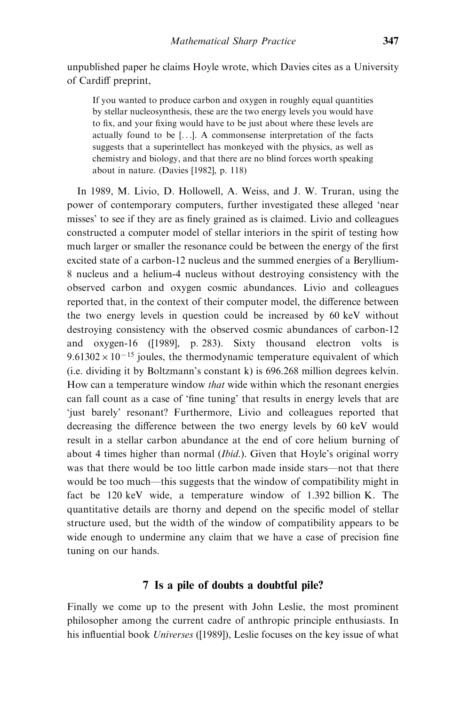unpublished paper he claims Hoyle wrote, which Davies cites as a University of Cardiff preprint,

If you wanted to produce carbon and oxygen in roughly equal quantities by stellar nucleosynthesis, these are the two energy levels you would have to fix, and your fixing would have to be just about where these levels are actually found to be [. . .]. A commonsense interpretation of the facts suggests that a superintellect has monkeyed with the physics, as well as chemistry and biology, and that there are no blind forces worth speaking about in nature. (Davies [1982], p. 118)

In 1989, M. Livio, D. Hollowell, A. Weiss, and J. W. Truran, using the power of contemporary computers, further investigated these alleged 'near misses' to see if they are as finely grained as is claimed. Livio and colleagues constructed a computer model of stellar interiors in the spirit of testing how much larger or smaller the resonance could be between the energy of the first excited state of a carbon-12 nucleus and the summed energies of a Beryllium-8 nucleus and a helium-4 nucleus without destroying consistency with the observed carbon and oxygen cosmic abundances. Livio and colleagues reported that, in the context of their computer model, the difference between the two energy levels in question could be increased by 60 keV without destroying consistency with the observed cosmic abundances of carbon-12 and oxygen-16 ([1989], p. 283). Sixty thousand electron volts is  $9.61302 \times 10^{-15}$  joules, the thermodynamic temperature equivalent of which (i.e. dividing it by Boltzmann's constant k) is 696.268 million degrees kelvin. How can a temperature window *that* wide within which the resonant energies can fall count as a case of 'fine tuning' that results in energy levels that are 'just barely' resonant? Furthermore, Livio and colleagues reported that decreasing the difference between the two energy levels by 60 keV would result in a stellar carbon abundance at the end of core helium burning of about 4 times higher than normal (Ibid.). Given that Hoyle's original worry was that there would be too little carbon made inside stars—not that there would be too much—this suggests that the window of compatibility might in fact be 120 keV wide, a temperature window of 1.392 billion K. The quantitative details are thorny and depend on the specific model of stellar structure used, but the width of the window of compatibility appears to be wide enough to undermine any claim that we have a case of precision fine tuning on our hands.

# 7 Is a pile of doubts a doubtful pile?

Finally we come up to the present with John Leslie, the most prominent philosopher among the current cadre of anthropic principle enthusiasts. In his influential book *Universes* ([1989]), Leslie focuses on the key issue of what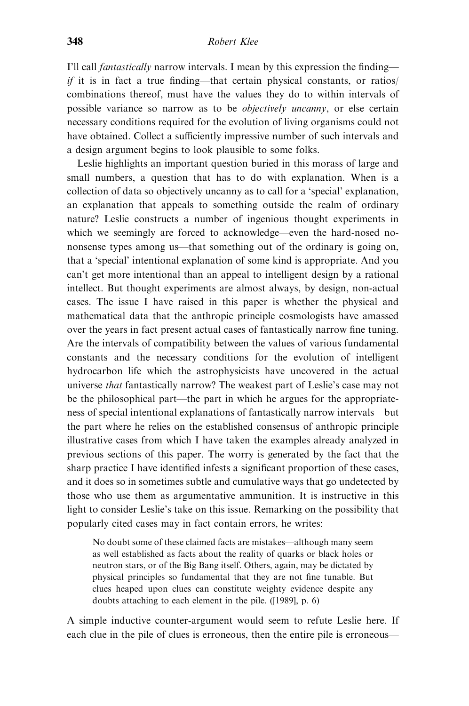I'll call *fantastically* narrow intervals. I mean by this expression the finding *if* it is in fact a true finding—that certain physical constants, or ratios/ combinations thereof, must have the values they do to within intervals of possible variance so narrow as to be objectively uncanny, or else certain necessary conditions required for the evolution of living organisms could not have obtained. Collect a sufficiently impressive number of such intervals and a design argument begins to look plausible to some folks.

Leslie highlights an important question buried in this morass of large and small numbers, a question that has to do with explanation. When is a collection of data so objectively uncanny as to call for a 'special' explanation, an explanation that appeals to something outside the realm of ordinary nature? Leslie constructs a number of ingenious thought experiments in which we seemingly are forced to acknowledge—even the hard-nosed nononsense types among us—that something out of the ordinary is going on, that a 'special' intentional explanation of some kind is appropriate. And you can't get more intentional than an appeal to intelligent design by a rational intellect. But thought experiments are almost always, by design, non-actual cases. The issue I have raised in this paper is whether the physical and mathematical data that the anthropic principle cosmologists have amassed over the years in fact present actual cases of fantastically narrow fine tuning. Are the intervals of compatibility between the values of various fundamental constants and the necessary conditions for the evolution of intelligent hydrocarbon life which the astrophysicists have uncovered in the actual universe that fantastically narrow? The weakest part of Leslie's case may not be the philosophical part—the part in which he argues for the appropriateness of special intentional explanations of fantastically narrow intervals—but the part where he relies on the established consensus of anthropic principle illustrative cases from which I have taken the examples already analyzed in previous sections of this paper. The worry is generated by the fact that the sharp practice I have identified infests a significant proportion of these cases, and it does so in sometimes subtle and cumulative ways that go undetected by those who use them as argumentative ammunition. It is instructive in this light to consider Leslie's take on this issue. Remarking on the possibility that popularly cited cases may in fact contain errors, he writes:

No doubt some of these claimed facts are mistakes—although many seem as well established as facts about the reality of quarks or black holes or neutron stars, or of the Big Bang itself. Others, again, may be dictated by physical principles so fundamental that they are not fine tunable. But clues heaped upon clues can constitute weighty evidence despite any doubts attaching to each element in the pile. ([1989], p. 6)

A simple inductive counter-argument would seem to refute Leslie here. If each clue in the pile of clues is erroneous, then the entire pile is erroneous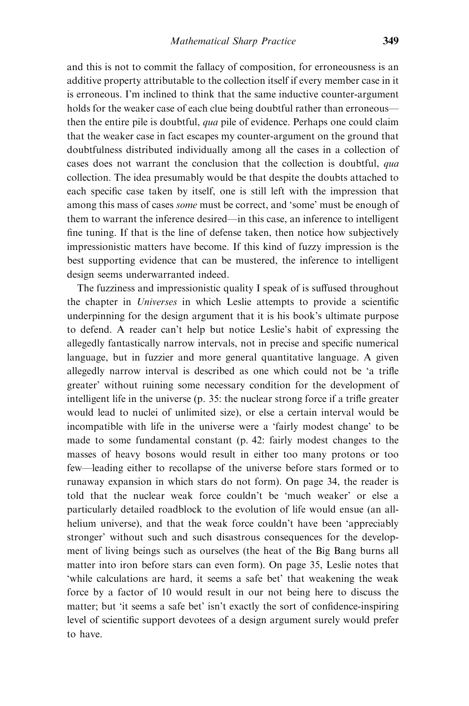and this is not to commit the fallacy of composition, for erroneousness is an additive property attributable to the collection itself if every member case in it is erroneous. I'm inclined to think that the same inductive counter-argument holds for the weaker case of each clue being doubtful rather than erroneous then the entire pile is doubtful, *qua* pile of evidence. Perhaps one could claim that the weaker case in fact escapes my counter-argument on the ground that doubtfulness distributed individually among all the cases in a collection of cases does not warrant the conclusion that the collection is doubtful, qua collection. The idea presumably would be that despite the doubts attached to each specific case taken by itself, one is still left with the impression that among this mass of cases *some* must be correct, and 'some' must be enough of them to warrant the inference desired—in this case, an inference to intelligent fine tuning. If that is the line of defense taken, then notice how subjectively impressionistic matters have become. If this kind of fuzzy impression is the best supporting evidence that can be mustered, the inference to intelligent design seems underwarranted indeed.

The fuzziness and impressionistic quality I speak of is suffused throughout the chapter in Universes in which Leslie attempts to provide a scientific underpinning for the design argument that it is his book's ultimate purpose to defend. A reader can't help but notice Leslie's habit of expressing the allegedly fantastically narrow intervals, not in precise and specific numerical language, but in fuzzier and more general quantitative language. A given allegedly narrow interval is described as one which could not be 'a trifle greater' without ruining some necessary condition for the development of intelligent life in the universe (p. 35: the nuclear strong force if a trifle greater would lead to nuclei of unlimited size), or else a certain interval would be incompatible with life in the universe were a 'fairly modest change' to be made to some fundamental constant (p. 42: fairly modest changes to the masses of heavy bosons would result in either too many protons or too few—leading either to recollapse of the universe before stars formed or to runaway expansion in which stars do not form). On page 34, the reader is told that the nuclear weak force couldn't be 'much weaker' or else a particularly detailed roadblock to the evolution of life would ensue (an allhelium universe), and that the weak force couldn't have been 'appreciably stronger' without such and such disastrous consequences for the development of living beings such as ourselves (the heat of the Big Bang burns all matter into iron before stars can even form). On page 35, Leslie notes that 'while calculations are hard, it seems a safe bet' that weakening the weak force by a factor of 10 would result in our not being here to discuss the matter; but 'it seems a safe bet' isn't exactly the sort of confidence-inspiring level of scientific support devotees of a design argument surely would prefer to have.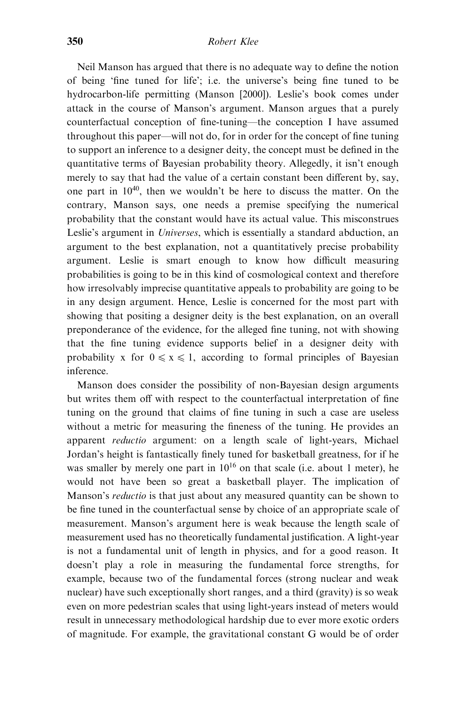Neil Manson has argued that there is no adequate way to define the notion of being 'fine tuned for life'; i.e. the universe's being fine tuned to be hydrocarbon-life permitting (Manson [2000]). Leslie's book comes under attack in the course of Manson's argument. Manson argues that a purely counterfactual conception of fine-tuning—the conception I have assumed throughout this paper—will not do, for in order for the concept of fine tuning to support an inference to a designer deity, the concept must be defined in the quantitative terms of Bayesian probability theory. Allegedly, it isn't enough merely to say that had the value of a certain constant been different by, say, one part in  $10^{40}$ , then we wouldn't be here to discuss the matter. On the contrary, Manson says, one needs a premise specifying the numerical probability that the constant would have its actual value. This misconstrues Leslie's argument in *Universes*, which is essentially a standard abduction, an argument to the best explanation, not a quantitatively precise probability argument. Leslie is smart enough to know how difficult measuring probabilities is going to be in this kind of cosmological context and therefore how irresolvably imprecise quantitative appeals to probability are going to be in any design argument. Hence, Leslie is concerned for the most part with showing that positing a designer deity is the best explanation, on an overall preponderance of the evidence, for the alleged fine tuning, not with showing that the fine tuning evidence supports belief in a designer deity with probability x for  $0 \le x \le 1$ , according to formal principles of Bayesian inference.

Manson does consider the possibility of non-Bayesian design arguments but writes them off with respect to the counterfactual interpretation of fine tuning on the ground that claims of fine tuning in such a case are useless without a metric for measuring the fineness of the tuning. He provides an apparent reductio argument: on a length scale of light-years, Michael Jordan's height is fantastically finely tuned for basketball greatness, for if he was smaller by merely one part in  $10^{16}$  on that scale (i.e. about 1 meter), he would not have been so great a basketball player. The implication of Manson's reductio is that just about any measured quantity can be shown to be fine tuned in the counterfactual sense by choice of an appropriate scale of measurement. Manson's argument here is weak because the length scale of measurement used has no theoretically fundamental justification. A light-year is not a fundamental unit of length in physics, and for a good reason. It doesn't play a role in measuring the fundamental force strengths, for example, because two of the fundamental forces (strong nuclear and weak nuclear) have such exceptionally short ranges, and a third (gravity) is so weak even on more pedestrian scales that using light-years instead of meters would result in unnecessary methodological hardship due to ever more exotic orders of magnitude. For example, the gravitational constant G would be of order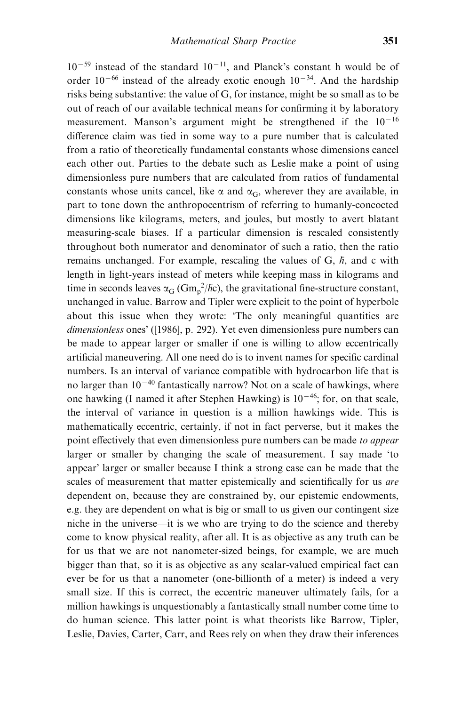$10^{-59}$  instead of the standard  $10^{-11}$ , and Planck's constant h would be of order  $10^{-66}$  instead of the already exotic enough  $10^{-34}$ . And the hardship risks being substantive: the value of G, for instance, might be so small as to be out of reach of our available technical means for confirming it by laboratory measurement. Manson's argument might be strengthened if the  $10^{-16}$ difference claim was tied in some way to a pure number that is calculated from a ratio of theoretically fundamental constants whose dimensions cancel each other out. Parties to the debate such as Leslie make a point of using dimensionless pure numbers that are calculated from ratios of fundamental constants whose units cancel, like  $\alpha$  and  $\alpha_G$ , wherever they are available, in part to tone down the anthropocentrism of referring to humanly-concocted dimensions like kilograms, meters, and joules, but mostly to avert blatant measuring-scale biases. If a particular dimension is rescaled consistently throughout both numerator and denominator of such a ratio, then the ratio remains unchanged. For example, rescaling the values of  $G$ ,  $\hbar$ , and c with length in light-years instead of meters while keeping mass in kilograms and time in seconds leaves  $\alpha_G$  (Gm<sub>p</sub><sup>2</sup>/ $\hbar$ c), the gravitational fine-structure constant, unchanged in value. Barrow and Tipler were explicit to the point of hyperbole about this issue when they wrote: 'The only meaningful quantities are dimensionless ones' ([1986], p. 292). Yet even dimensionless pure numbers can be made to appear larger or smaller if one is willing to allow eccentrically artificial maneuvering. All one need do is to invent names for specific cardinal numbers. Is an interval of variance compatible with hydrocarbon life that is no larger than  $10^{-40}$  fantastically narrow? Not on a scale of hawkings, where one hawking (I named it after Stephen Hawking) is  $10^{-46}$ ; for, on that scale, the interval of variance in question is a million hawkings wide. This is mathematically eccentric, certainly, if not in fact perverse, but it makes the point effectively that even dimensionless pure numbers can be made to appear larger or smaller by changing the scale of measurement. I say made 'to appear' larger or smaller because I think a strong case can be made that the scales of measurement that matter epistemically and scientifically for us *are* dependent on, because they are constrained by, our epistemic endowments, e.g. they are dependent on what is big or small to us given our contingent size niche in the universe—it is we who are trying to do the science and thereby come to know physical reality, after all. It is as objective as any truth can be for us that we are not nanometer-sized beings, for example, we are much bigger than that, so it is as objective as any scalar-valued empirical fact can ever be for us that a nanometer (one-billionth of a meter) is indeed a very small size. If this is correct, the eccentric maneuver ultimately fails, for a million hawkings is unquestionably a fantastically small number come time to do human science. This latter point is what theorists like Barrow, Tipler, Leslie, Davies, Carter, Carr, and Rees rely on when they draw their inferences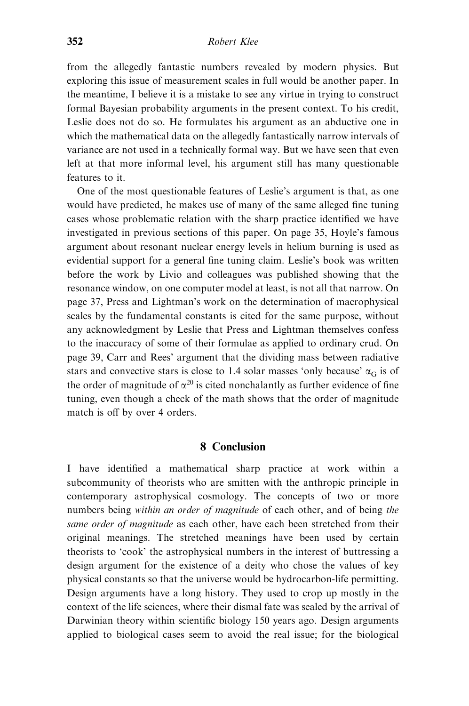from the allegedly fantastic numbers revealed by modern physics. But exploring this issue of measurement scales in full would be another paper. In the meantime, I believe it is a mistake to see any virtue in trying to construct formal Bayesian probability arguments in the present context. To his credit, Leslie does not do so. He formulates his argument as an abductive one in which the mathematical data on the allegedly fantastically narrow intervals of variance are not used in a technically formal way. But we have seen that even left at that more informal level, his argument still has many questionable features to it.

One of the most questionable features of Leslie's argument is that, as one would have predicted, he makes use of many of the same alleged fine tuning cases whose problematic relation with the sharp practice identified we have investigated in previous sections of this paper. On page 35, Hoyle's famous argument about resonant nuclear energy levels in helium burning is used as evidential support for a general fine tuning claim. Leslie's book was written before the work by Livio and colleagues was published showing that the resonance window, on one computer model at least, is not all that narrow. On page 37, Press and Lightman's work on the determination of macrophysical scales by the fundamental constants is cited for the same purpose, without any acknowledgment by Leslie that Press and Lightman themselves confess to the inaccuracy of some of their formulae as applied to ordinary crud. On page 39, Carr and Rees' argument that the dividing mass between radiative stars and convective stars is close to 1.4 solar masses 'only because'  $\alpha_G$  is of the order of magnitude of  $\alpha^{20}$  is cited nonchalantly as further evidence of fine tuning, even though a check of the math shows that the order of magnitude match is off by over 4 orders.

#### 8 Conclusion

I have identified a mathematical sharp practice at work within a subcommunity of theorists who are smitten with the anthropic principle in contemporary astrophysical cosmology. The concepts of two or more numbers being within an order of magnitude of each other, and of being the same order of magnitude as each other, have each been stretched from their original meanings. The stretched meanings have been used by certain theorists to 'cook' the astrophysical numbers in the interest of buttressing a design argument for the existence of a deity who chose the values of key physical constants so that the universe would be hydrocarbon-life permitting. Design arguments have a long history. They used to crop up mostly in the context of the life sciences, where their dismal fate was sealed by the arrival of Darwinian theory within scientific biology 150 years ago. Design arguments applied to biological cases seem to avoid the real issue; for the biological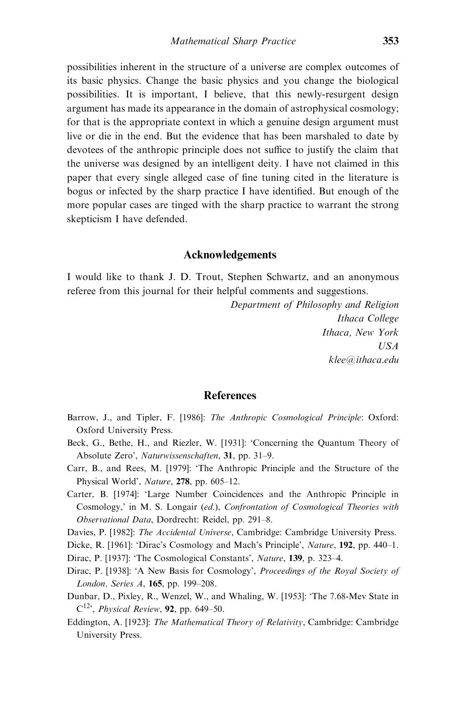possibilities inherent in the structure of a universe are complex outcomes of its basic physics. Change the basic physics and you change the biological possibilities. It is important, I believe, that this newly-resurgent design argument has made its appearance in the domain of astrophysical cosmology; for that is the appropriate context in which a genuine design argument must live or die in the end. But the evidence that has been marshaled to date by devotees of the anthropic principle does not suffice to justify the claim that the universe was designed by an intelligent deity. I have not claimed in this paper that every single alleged case of fine tuning cited in the literature is bogus or infected by the sharp practice I have identified. But enough of the more popular cases are tinged with the sharp practice to warrant the strong skepticism I have defended.

#### Acknowledgements

I would like to thank J. D. Trout, Stephen Schwartz, and an anonymous referee from this journal for their helpful comments and suggestions.

> Department of Philosophy and Religion Ithaca College Ithaca, New York USA klee@ithaca.edu

#### References

- Barrow, J., and Tipler, F. [1986]: The Anthropic Cosmological Principle: Oxford: Oxford University Press.
- Beck, G., Bethe, H., and Riezler, W. [1931]: 'Concerning the Quantum Theory of Absolute Zero', Naturwissenschaften, 31, pp. 31–9.
- Carr, B., and Rees, M. [1979]: 'The Anthropic Principle and the Structure of the Physical World', Nature, 278, pp. 605-12.
- Carter, B. [1974]: 'Large Number Coincidences and the Anthropic Principle in Cosmology,' in M. S. Longair (ed.), Confrontation of Cosmological Theories with Observational Data, Dordrecht: Reidel, pp. 291–8.
- Davies, P. [1982]: The Accidental Universe, Cambridge: Cambridge University Press.
- Dicke, R. [1961]: 'Dirac's Cosmology and Mach's Principle', Nature, 192, pp. 440–1. Dirac, P. [1937]: 'The Cosmological Constants', Nature, 139, p. 323–4.
- Dirac, P. [1938]: 'A New Basis for Cosmology', Proceedings of the Royal Society of London, Series A, 165, pp. 199–208.
- Dunbar, D., Pixley, R., Wenzel, W., and Whaling, W. [1953]: 'The 7.68-Mev State in  $C^{12}$ , *Physical Review*, **92**, pp. 649–50.
- Eddington, A. [1923]: The Mathematical Theory of Relativity, Cambridge: Cambridge University Press.